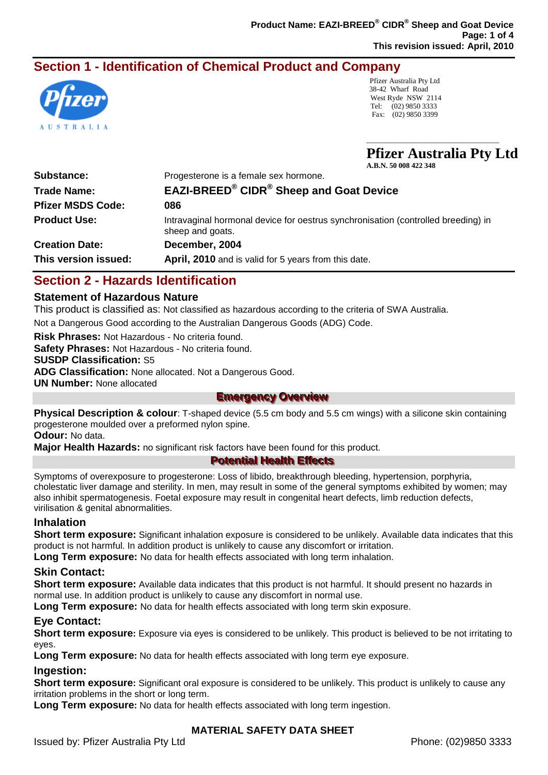# **Section 1 - Identification of Chemical Product and Company**



Pfizer Australia Pty Ltd 38-42 Wharf Road West Ryde NSW 2114 Tel: (02) 9850 3333 Fax: (02) 9850 3399

**Pfizer Australia Pty Ltd A.B.N. 50 008 422 348**

 $\_$ 

| <b>Substance:</b>        | Progesterone is a female sex hormone.                                                                 |
|--------------------------|-------------------------------------------------------------------------------------------------------|
| <b>Trade Name:</b>       | <b>EAZI-BREED® CIDR® Sheep and Goat Device</b>                                                        |
| <b>Pfizer MSDS Code:</b> | 086                                                                                                   |
| <b>Product Use:</b>      | Intravaginal hormonal device for oestrus synchronisation (controlled breeding) in<br>sheep and goats. |
| <b>Creation Date:</b>    | December, 2004                                                                                        |
| This version issued:     | April, 2010 and is valid for 5 years from this date.                                                  |

# **Section 2 - Hazards Identification**

#### **Statement of Hazardous Nature**

This product is classified as: Not classified as hazardous according to the criteria of SWA Australia.

Not a Dangerous Good according to the Australian Dangerous Goods (ADG) Code.

**Risk Phrases:** Not Hazardous - No criteria found.

**Safety Phrases:** Not Hazardous - No criteria found.

#### **SUSDP Classification:** S5

**ADG Classification:** None allocated. Not a Dangerous Good.

**UN Number:** None allocated

## **Emergency Overview**

**Physical Description & colour**: T-shaped device (5.5 cm body and 5.5 cm wings) with a silicone skin containing progesterone moulded over a preformed nylon spine.

**Odour:** No data.

**Major Health Hazards:** no significant risk factors have been found for this product.

## **Potential Health Effects**

Symptoms of overexposure to progesterone: Loss of libido, breakthrough bleeding, hypertension, porphyria, cholestatic liver damage and sterility. In men, may result in some of the general symptoms exhibited by women; may also inhibit spermatogenesis. Foetal exposure may result in congenital heart defects, limb reduction defects, virilisation & genital abnormalities.

## **Inhalation**

**Short term exposure:** Significant inhalation exposure is considered to be unlikely. Available data indicates that this product is not harmful. In addition product is unlikely to cause any discomfort or irritation.

**Long Term exposure:** No data for health effects associated with long term inhalation.

#### **Skin Contact:**

**Short term exposure:** Available data indicates that this product is not harmful. It should present no hazards in normal use. In addition product is unlikely to cause any discomfort in normal use.

**Long Term exposure:** No data for health effects associated with long term skin exposure.

#### **Eye Contact:**

**Short term exposure:** Exposure via eyes is considered to be unlikely. This product is believed to be not irritating to eyes.

**Long Term exposure:** No data for health effects associated with long term eye exposure.

#### **Ingestion:**

**Short term exposure:** Significant oral exposure is considered to be unlikely. This product is unlikely to cause any irritation problems in the short or long term.

**Long Term exposure:** No data for health effects associated with long term ingestion.

## **MATERIAL SAFETY DATA SHEET**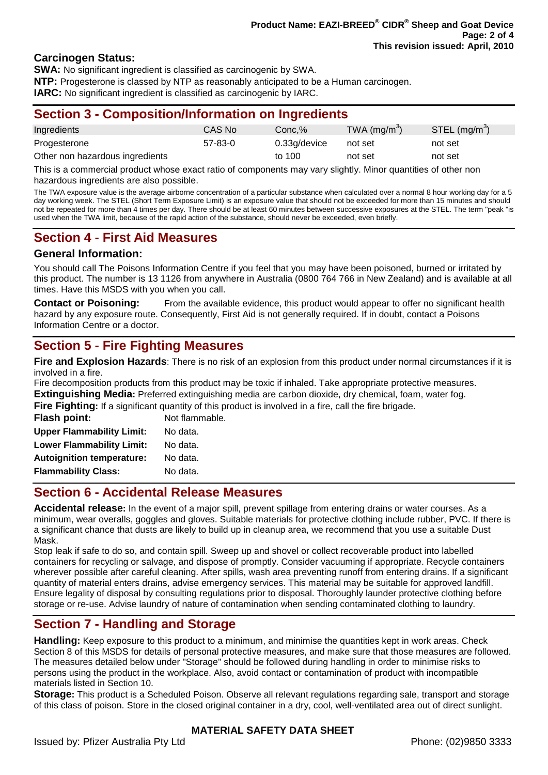#### **Carcinogen Status:**

**SWA:** No significant ingredient is classified as carcinogenic by SWA. **NTP:** Progesterone is classed by NTP as reasonably anticipated to be a Human carcinogen. **IARC:** No significant ingredient is classified as carcinogenic by IARC.

## **Section 3 - Composition/Information on Ingredients**

| Ingredients                     | CAS No        | Conc.%       | TWA $(mg/m3)$ | $STEL$ (mg/m <sup>3</sup> ) |
|---------------------------------|---------------|--------------|---------------|-----------------------------|
| Progesterone                    | $57 - 83 - 0$ | 0.33g/device | not set       | not set                     |
| Other non hazardous ingredients |               | to 100       | not set       | not set                     |

This is a commercial product whose exact ratio of components may vary slightly. Minor quantities of other non hazardous ingredients are also possible.

The TWA exposure value is the average airborne concentration of a particular substance when calculated over a normal 8 hour working day for a 5 day working week. The STEL (Short Term Exposure Limit) is an exposure value that should not be exceeded for more than 15 minutes and should not be repeated for more than 4 times per day. There should be at least 60 minutes between successive exposures at the STEL. The term "peak "is used when the TWA limit, because of the rapid action of the substance, should never be exceeded, even briefly.

## **Section 4 - First Aid Measures**

#### **General Information:**

You should call The Poisons Information Centre if you feel that you may have been poisoned, burned or irritated by this product. The number is 13 1126 from anywhere in Australia (0800 764 766 in New Zealand) and is available at all times. Have this MSDS with you when you call.

**Contact or Poisoning:** From the available evidence, this product would appear to offer no significant health hazard by any exposure route. Consequently, First Aid is not generally required. If in doubt, contact a Poisons Information Centre or a doctor.

## **Section 5 - Fire Fighting Measures**

**Fire and Explosion Hazards**: There is no risk of an explosion from this product under normal circumstances if it is involved in a fire.

Fire decomposition products from this product may be toxic if inhaled. Take appropriate protective measures. **Extinguishing Media:** Preferred extinguishing media are carbon dioxide, dry chemical, foam, water fog.

**Fire Fighting:** If a significant quantity of this product is involved in a fire, call the fire brigade.

| Flash point:                     | Not flammable. |
|----------------------------------|----------------|
| <b>Upper Flammability Limit:</b> | No data.       |
| <b>Lower Flammability Limit:</b> | No data.       |
| <b>Autoignition temperature:</b> | No data.       |
| <b>Flammability Class:</b>       | No data.       |

## **Section 6 - Accidental Release Measures**

**Accidental release:** In the event of a major spill, prevent spillage from entering drains or water courses. As a minimum, wear overalls, goggles and gloves. Suitable materials for protective clothing include rubber, PVC. If there is a significant chance that dusts are likely to build up in cleanup area, we recommend that you use a suitable Dust Mask.

Stop leak if safe to do so, and contain spill. Sweep up and shovel or collect recoverable product into labelled containers for recycling or salvage, and dispose of promptly. Consider vacuuming if appropriate. Recycle containers wherever possible after careful cleaning. After spills, wash area preventing runoff from entering drains. If a significant quantity of material enters drains, advise emergency services. This material may be suitable for approved landfill. Ensure legality of disposal by consulting regulations prior to disposal. Thoroughly launder protective clothing before storage or re-use. Advise laundry of nature of contamination when sending contaminated clothing to laundry.

## **Section 7 - Handling and Storage**

**Handling:** Keep exposure to this product to a minimum, and minimise the quantities kept in work areas. Check Section 8 of this MSDS for details of personal protective measures, and make sure that those measures are followed. The measures detailed below under "Storage" should be followed during handling in order to minimise risks to persons using the product in the workplace. Also, avoid contact or contamination of product with incompatible materials listed in Section 10.

**Storage:** This product is a Scheduled Poison. Observe all relevant regulations regarding sale, transport and storage of this class of poison. Store in the closed original container in a dry, cool, well-ventilated area out of direct sunlight.

#### **MATERIAL SAFETY DATA SHEET**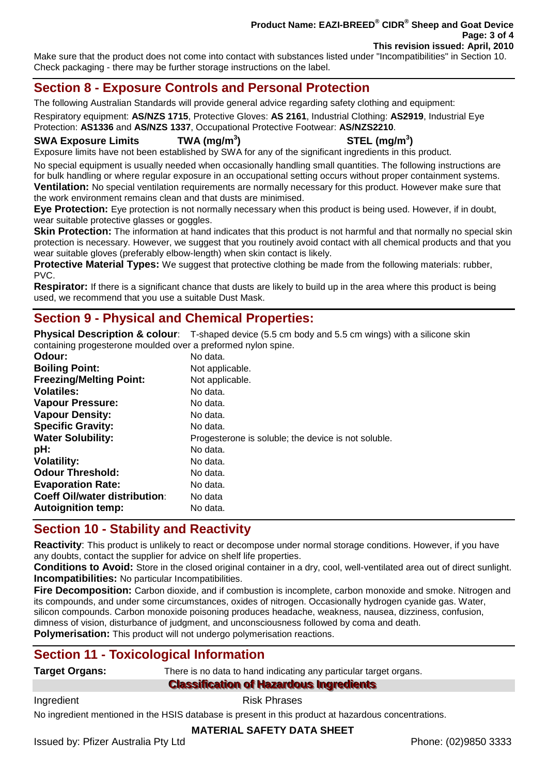#### **Product Name: EAZI-BREED® CIDR® Sheep and Goat Device Page: 3 of 4 This revision issued: April, 2010**

Make sure that the product does not come into contact with substances listed under "Incompatibilities" in Section 10. Check packaging - there may be further storage instructions on the label.

## **Section 8 - Exposure Controls and Personal Protection**

The following Australian Standards will provide general advice regarding safety clothing and equipment:

Respiratory equipment: **AS/NZS 1715**, Protective Gloves: **AS 2161**, Industrial Clothing: **AS2919**, Industrial Eye Protection: **AS1336** and **AS/NZS 1337**, Occupational Protective Footwear: **AS/NZS2210**.

#### **SWA Exposure Limits TWA (mg/m<sup>3</sup>**

**) STEL (mg/m<sup>3</sup> )**

Exposure limits have not been established by SWA for any of the significant ingredients in this product.

No special equipment is usually needed when occasionally handling small quantities. The following instructions are for bulk handling or where regular exposure in an occupational setting occurs without proper containment systems. **Ventilation:** No special ventilation requirements are normally necessary for this product. However make sure that the work environment remains clean and that dusts are minimised.

**Eye Protection:** Eye protection is not normally necessary when this product is being used. However, if in doubt, wear suitable protective glasses or goggles.

**Skin Protection:** The information at hand indicates that this product is not harmful and that normally no special skin protection is necessary. However, we suggest that you routinely avoid contact with all chemical products and that you wear suitable gloves (preferably elbow-length) when skin contact is likely.

**Protective Material Types:** We suggest that protective clothing be made from the following materials: rubber, PVC.

**Respirator:** If there is a significant chance that dusts are likely to build up in the area where this product is being used, we recommend that you use a suitable Dust Mask.

## **Section 9 - Physical and Chemical Properties:**

**Physical Description & colour**: T-shaped device (5.5 cm body and 5.5 cm wings) with a silicone skin containing progesterone moulded over a preformed nylon spine.

| Odour:                               | No data.                                            |
|--------------------------------------|-----------------------------------------------------|
| <b>Boiling Point:</b>                | Not applicable.                                     |
| <b>Freezing/Melting Point:</b>       | Not applicable.                                     |
| <b>Volatiles:</b>                    | No data.                                            |
| <b>Vapour Pressure:</b>              | No data.                                            |
| <b>Vapour Density:</b>               | No data.                                            |
| <b>Specific Gravity:</b>             | No data.                                            |
| <b>Water Solubility:</b>             | Progesterone is soluble; the device is not soluble. |
| pH:                                  | No data.                                            |
| <b>Volatility:</b>                   | No data.                                            |
| <b>Odour Threshold:</b>              | No data.                                            |
| <b>Evaporation Rate:</b>             | No data.                                            |
| <b>Coeff Oil/water distribution:</b> | No data                                             |
| <b>Autoignition temp:</b>            | No data.                                            |
|                                      |                                                     |

## **Section 10 - Stability and Reactivity**

**Reactivity**: This product is unlikely to react or decompose under normal storage conditions. However, if you have any doubts, contact the supplier for advice on shelf life properties.

**Conditions to Avoid:** Store in the closed original container in a dry, cool, well-ventilated area out of direct sunlight. **Incompatibilities:** No particular Incompatibilities.

**Fire Decomposition:** Carbon dioxide, and if combustion is incomplete, carbon monoxide and smoke. Nitrogen and its compounds, and under some circumstances, oxides of nitrogen. Occasionally hydrogen cyanide gas. Water, silicon compounds. Carbon monoxide poisoning produces headache, weakness, nausea, dizziness, confusion, dimness of vision, disturbance of judgment, and unconsciousness followed by coma and death. **Polymerisation:** This product will not undergo polymerisation reactions.

## **Section 11 - Toxicological Information**

**Target Organs:** There is no data to hand indicating any particular target organs.

**Classification of Hazardous Ingredients** 

Ingredient **Risk Phrases** 

No ingredient mentioned in the HSIS database is present in this product at hazardous concentrations.

## **MATERIAL SAFETY DATA SHEET**

Issued by: Pfizer Australia Pty Ltd Phone: (02)9850 3333